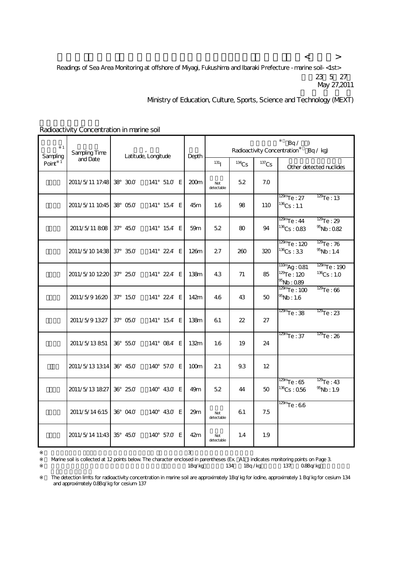$\langle$  and  $\langle$  and  $\rangle$  and  $\langle$  and  $\langle$  and  $\rangle$  and  $\langle$  and  $\rangle$  and  $\langle$  and  $\rangle$ Readings of Sea Area Monitoring at offshore of Miyagi, Fukushima and Ibaraki Prefecture -marine soil-<1st> 23 5 27 May 27,2011

Ministry of Education, Culture, Sports, Science and Technology (MEXT)

| $\mathbf{1}$<br>Sampling | Sampling Time<br>and Date | Latitude, Longitude |             | Depth            | Bq/<br>Radioactivity Concentration<br>Bq / kg |          |          |                                                                                               |
|--------------------------|---------------------------|---------------------|-------------|------------------|-----------------------------------------------|----------|----------|-----------------------------------------------------------------------------------------------|
| Point $1$                |                           |                     |             |                  | 131 <sub>l</sub>                              | $134$ Cs | $137$ Cs | Other detected nuclides                                                                       |
|                          | 2011/5/11 17:48 38 300    |                     | 141° 51.0 E | 200 <sub>m</sub> | Not<br>detectable                             | 52       | 7.0      |                                                                                               |
|                          | 2011/5/11 1045            | 38 050              | 141° 15.4 E | 45m              | 1.6                                           | 98       | 110      | $\frac{129m}{129m}$ e: 27<br>$\frac{129}{127}$ e : 13<br>$136$ Cs: 1.1                        |
|                          | 2011/5/11 808             | $37^{\circ}$ 45.0   | 141° 154 E  | 59m              | 5.2                                           | 80       | 94       | $\frac{129m}{129m}$ Te: 44<br>$129$ Te: 29<br>$136$ Cs: 083<br>$\frac{95}{2}$ Nb: Q82         |
|                          | 2011/5/1014:38            | $37^{\circ}$ 35.0   | 141° 224 E  | 126m             | 27                                            | 260      | 320      | $\frac{129m}{120}$ Te: 120<br>$129$ Te: 76<br>$136$ Cs: 33<br>$^{95}$ Nb: 1.4                 |
|                          | 2011/5/101220             | $37^{\circ}$ 25.0   | 141° 224 E  | 138m             | 4.3                                           | 71       | 85       | $129m$ Te: 190<br>$110m$ Ag: Q81<br>$129$ Te: 120<br>$136$ Cs: 1.0<br>$\frac{95}{2}$ Nb: 0.89 |
|                          | 2011/5/91620              | 37° 150             | 141° 224 E  | 142m             | 4.6                                           | 43       | 50       | $\frac{129m}{129m}$ <sub>e</sub> : 100<br>$\frac{129}{129}$ : 66<br>$\frac{95}{5}$ Nb: 1.6    |
|                          | 2011/5/91327              | 37° 05.0            | 141° 154 E  | 138m             | 61                                            | 22       | 27       | $\frac{129m}{129m}$ e: 38<br>$\frac{129}{127}$ e : 23                                         |
|                          | 2011/5/13851              | 36° 55.0            | 141° 084 E  | 132m             | 1.6                                           | 19       | 24       | $\frac{129m}{129m}$ Te : 37<br>$\frac{129}{127}$ e : 26                                       |
|                          | 2011/5/13 13 14           | 36° 450             | 140° 57.0 E | 100m             | 21                                            | 9.3      | 12       |                                                                                               |
|                          | 2011/5/13 1827            | 36° 25.0            | 140° 430 E  | 49m              | 5.2                                           | 44       | 50       | $129$ Te: 43<br>$\frac{129m}{129m}$ e: 65<br>$136$ Cs: 056<br>$\frac{95}{10}$ Nb: 1.9         |
|                          | 2011/5/14 615             | 36° 04.0            | 140° 430 E  | 29m              | Not<br>detectable                             | 61       | 7.5      | $\frac{129m}{129m}$ e: 66                                                                     |
|                          | 2011/5/14 11:43           | 35° 45.0            | 140° 57.0 E | 42m              | Not<br>detectable                             | 1.4      | 1.9      |                                                                                               |

Radioactivity Concentration in marine soil

Warine soil is collected at 12 points below. The character enclosed in parentheses (Ex. A1) indicates monitoring points on Page 3. 1Bq/kg 134 1Bq/kg 137 0.8Bq/kg

 $\sim$  3

※2 The detection limits for radioactivity concentration in marine soil are approximately 1Bq/kg for iodine, approximately 1 Bq/kg for cesium-134 and approximately 0.8Bq/kg for cesium-137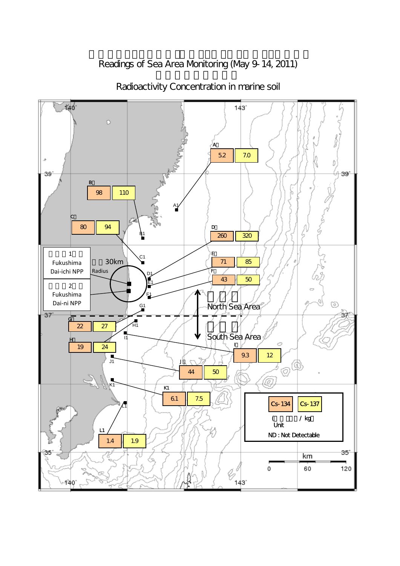Readings of Sea Area Monitoring (May 9-14, 2011)



Radioactivity Concentration in marine soil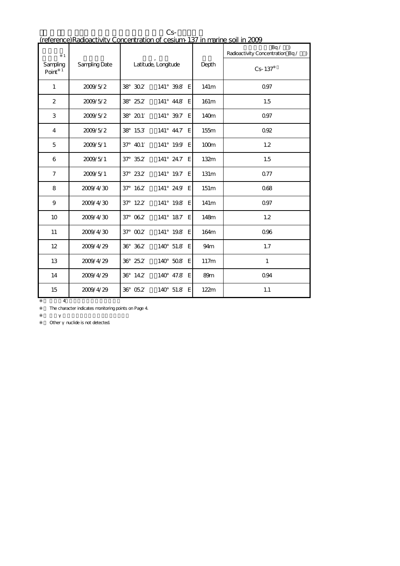| $\mathbf{1}$                      |                      |                    |                         |                  | Bq /<br>$\lambda$<br>Radioactivity Concentration Bq /<br>$\lambda$ |
|-----------------------------------|----------------------|--------------------|-------------------------|------------------|--------------------------------------------------------------------|
| Sampling<br>$\mathbf{1}$<br>Point | <b>Sampling Date</b> |                    | Latitude, Longitude     | Depth            | $Cs - 137$                                                         |
| $\mathbf{1}$                      | 2009/5/2             | 38 302             | 141° 39.8 E             | 141m             | Q97                                                                |
| 2                                 | 2009/5/2             | 38 25.2            | 141° 44.8 E             | 161m             | 1.5                                                                |
| 3                                 | 2009/5/2             | 38 201             | $141^{\circ}$ 39.7<br>E | 140m             | Q97                                                                |
| 4                                 | 2009/5/2             | 38 153             | $141^{\circ}$ 44.7<br>E | 155m             | 0.92                                                               |
| 5                                 | 2009/5/1             | 37° 401            | 141° 19.9 E             | 100m             | 1.2                                                                |
| 6                                 | 2009/5/1             | $37^{\circ}$ $352$ | 141° 24.7 E             | 132m             | 1.5                                                                |
| $\overline{7}$                    | 2009/5/1             | $37^{\circ}$ 23.2  | 141° 19.7 E             | 131 <sub>m</sub> | Q77                                                                |
| 8                                 | 2009/4/30            | 37° 162            | 141° 24.9 E             | 151m             | 068                                                                |
| 9                                 | 2009/4/30            | 37° 122            | 141° 19.8 E             | 141 <sub>m</sub> | Q97                                                                |
| 10 <sup>10</sup>                  | 2009/4/30            | $37^{\circ}$ $062$ | 141° 187 E              | 148m             | 1.2                                                                |
| 11                                | 2009/4/30            | $37^\circ$ $002$   | 141° 19.8 E             | 164m             | 0%                                                                 |
| 12                                | 2009/4/29            | 36° 362            | 140° 51.8 E             | 94m              | 1.7                                                                |
| 13                                | 2009/4/29            | 36° 25.2           | 140° 508 E              | 117m             | $\mathbf{1}$                                                       |
| 14                                | 2009/4/29            | 36° 14.2           | 140° 47.8 E             | 89m              | Q94                                                                |
| 15                                | 2009/4/29            | 36° 05.2           | 140° 51.8 E             | 122m             | 1.1                                                                |

 $\mathbb{C}$ S-1374 $\mathbb{C}$ S-1374 $\mathbb{C}$ (reference)Radioactivity Concentration of cesium-137 in marine soil in 2009

The character indicates monitoring points on Page 4.

Other nuclide is not detected.

 $4$